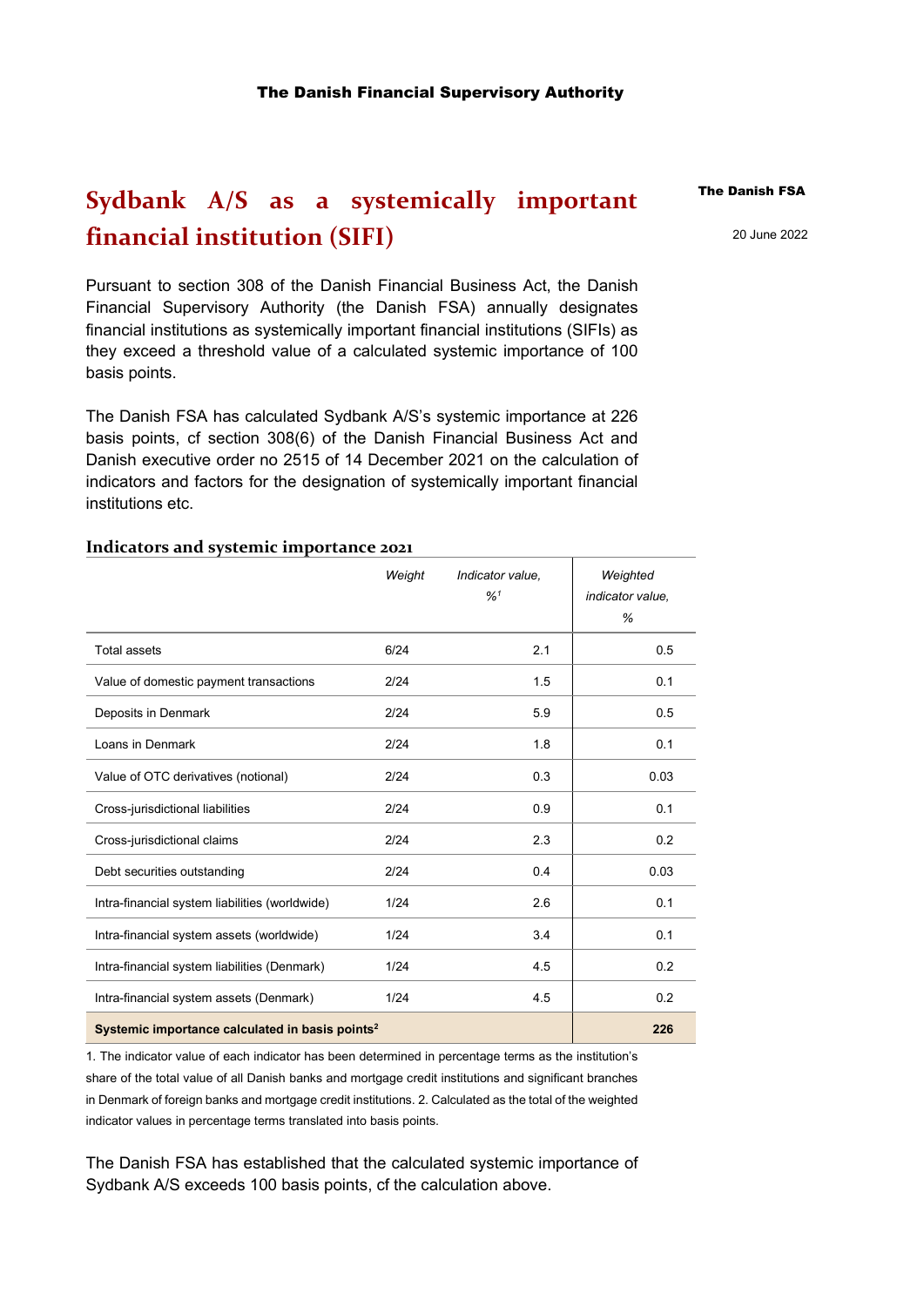## **Sydbank A/S as a systemically important financial institution (SIFI)**

Pursuant to section 308 of the Danish Financial Business Act, the Danish Financial Supervisory Authority (the Danish FSA) annually designates financial institutions as systemically important financial institutions (SIFIs) as they exceed a threshold value of a calculated systemic importance of 100 basis points.

The Danish FSA has calculated Sydbank A/S's systemic importance at 226 basis points, cf section 308(6) of the Danish Financial Business Act and Danish executive order no 2515 of 14 December 2021 on the calculation of indicators and factors for the designation of systemically important financial institutions etc.

## **Indicators and systemic importance 2021**

|                                                             | Weight | Indicator value.<br>$\frac{9}{4}$ <sup>1</sup> | Weighted<br>indicator value.<br>% |
|-------------------------------------------------------------|--------|------------------------------------------------|-----------------------------------|
| <b>Total assets</b>                                         | 6/24   | 2.1                                            | 0.5                               |
| Value of domestic payment transactions                      | 2/24   | 1.5                                            | 0.1                               |
| Deposits in Denmark                                         | 2/24   | 5.9                                            | 0.5                               |
| Loans in Denmark                                            | 2/24   | 1.8                                            | 0.1                               |
| Value of OTC derivatives (notional)                         | 2/24   | 0.3                                            | 0.03                              |
| Cross-jurisdictional liabilities                            | 2/24   | 0.9                                            | 0.1                               |
| Cross-jurisdictional claims                                 | 2/24   | 2.3                                            | 0.2                               |
| Debt securities outstanding                                 | 2/24   | 0.4                                            | 0.03                              |
| Intra-financial system liabilities (worldwide)              | 1/24   | 2.6                                            | 0.1                               |
| Intra-financial system assets (worldwide)                   | 1/24   | 3.4                                            | 0.1                               |
| Intra-financial system liabilities (Denmark)                | 1/24   | 4.5                                            | 0.2                               |
| Intra-financial system assets (Denmark)                     | 1/24   | 4.5                                            | 0.2                               |
| Systemic importance calculated in basis points <sup>2</sup> |        |                                                | 226                               |

1. The indicator value of each indicator has been determined in percentage terms as the institution's share of the total value of all Danish banks and mortgage credit institutions and significant branches in Denmark of foreign banks and mortgage credit institutions. 2. Calculated as the total of the weighted indicator values in percentage terms translated into basis points.

The Danish FSA has established that the calculated systemic importance of Sydbank A/S exceeds 100 basis points, cf the calculation above.

## The Danish FSA

20 June 2022